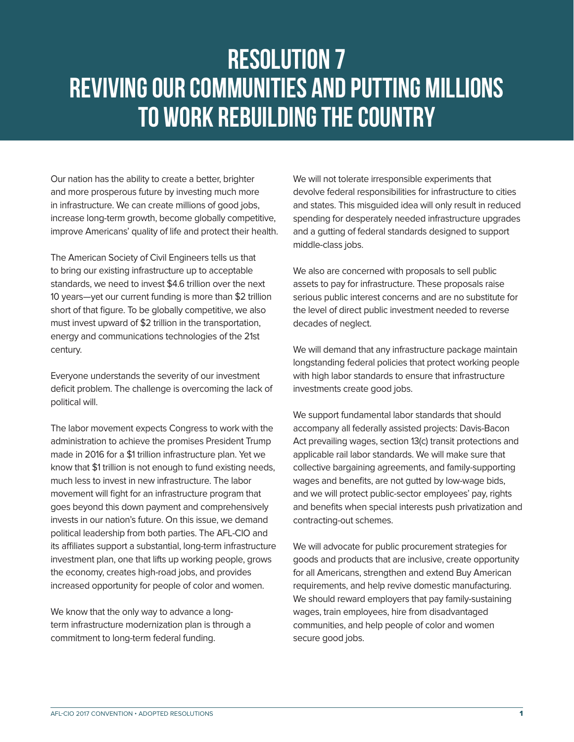## Resolution 7 REVIVING OUR COMMUNITIES AND PUTTING MILLIONS TO WORK REBUILDING THE COUNTRY

Our nation has the ability to create a better, brighter and more prosperous future by investing much more in infrastructure. We can create millions of good jobs, increase long-term growth, become globally competitive, improve Americans' quality of life and protect their health.

The American Society of Civil Engineers tells us that to bring our existing infrastructure up to acceptable standards, we need to invest \$4.6 trillion over the next 10 years—yet our current funding is more than \$2 trillion short of that figure. To be globally competitive, we also must invest upward of \$2 trillion in the transportation, energy and communications technologies of the 21st century.

Everyone understands the severity of our investment deficit problem. The challenge is overcoming the lack of political will.

The labor movement expects Congress to work with the administration to achieve the promises President Trump made in 2016 for a \$1 trillion infrastructure plan. Yet we know that \$1 trillion is not enough to fund existing needs, much less to invest in new infrastructure. The labor movement will fight for an infrastructure program that goes beyond this down payment and comprehensively invests in our nation's future. On this issue, we demand political leadership from both parties. The AFL-CIO and its affiliates support a substantial, long-term infrastructure investment plan, one that lifts up working people, grows the economy, creates high-road jobs, and provides increased opportunity for people of color and women.

We know that the only way to advance a longterm infrastructure modernization plan is through a commitment to long-term federal funding.

We will not tolerate irresponsible experiments that devolve federal responsibilities for infrastructure to cities and states. This misguided idea will only result in reduced spending for desperately needed infrastructure upgrades and a gutting of federal standards designed to support middle-class jobs.

We also are concerned with proposals to sell public assets to pay for infrastructure. These proposals raise serious public interest concerns and are no substitute for the level of direct public investment needed to reverse decades of neglect.

We will demand that any infrastructure package maintain longstanding federal policies that protect working people with high labor standards to ensure that infrastructure investments create good jobs.

We support fundamental labor standards that should accompany all federally assisted projects: Davis-Bacon Act prevailing wages, section 13(c) transit protections and applicable rail labor standards. We will make sure that collective bargaining agreements, and family-supporting wages and benefits, are not gutted by low-wage bids, and we will protect public-sector employees' pay, rights and benefits when special interests push privatization and contracting-out schemes.

We will advocate for public procurement strategies for goods and products that are inclusive, create opportunity for all Americans, strengthen and extend Buy American requirements, and help revive domestic manufacturing. We should reward employers that pay family-sustaining wages, train employees, hire from disadvantaged communities, and help people of color and women secure good jobs.